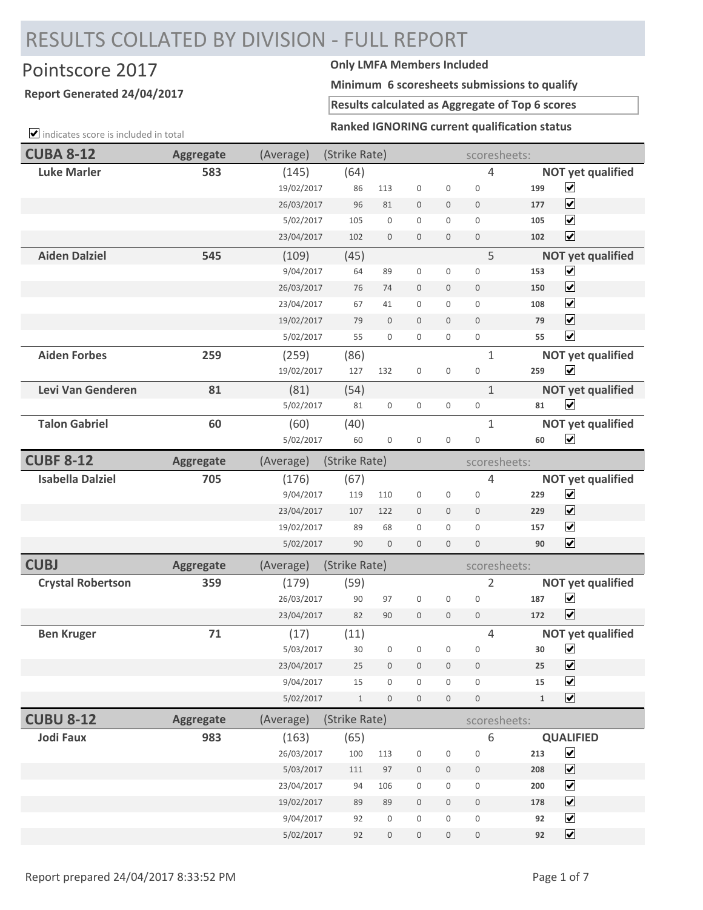## RESULTS COLLATED BY DIVISION - FULL REPORT

## Pointscore 2017 **Only LMFA Members Included**

## **Report Generated 24/04/2017**

**Minimum 6 scoresheets submissions to qualify**

**Results calculated as Aggregate of Top 6 scores**

**Ranked IGNORING current qualification status**

| Ranked IGNORING current qualification status<br>$\triangleright$ indicates score is included in total |                  |            |               |                  |                  |                     |                     |             |                          |
|-------------------------------------------------------------------------------------------------------|------------------|------------|---------------|------------------|------------------|---------------------|---------------------|-------------|--------------------------|
| <b>CUBA 8-12</b>                                                                                      | <b>Aggregate</b> | (Average)  | (Strike Rate) |                  |                  |                     | scoresheets:        |             |                          |
| <b>Luke Marler</b>                                                                                    | 583              | (145)      | (64)          |                  |                  |                     | $\overline{4}$      |             | <b>NOT yet qualified</b> |
|                                                                                                       |                  | 19/02/2017 | 86            | 113              | $\boldsymbol{0}$ | $\boldsymbol{0}$    | $\boldsymbol{0}$    | 199         | $\blacktriangledown$     |
|                                                                                                       |                  | 26/03/2017 | 96            | 81               | $\mathbf 0$      | $\mathbf 0$         | $\mathbf 0$         | 177         | $\blacktriangledown$     |
|                                                                                                       |                  | 5/02/2017  | 105           | $\boldsymbol{0}$ | $\boldsymbol{0}$ | $\mathbf 0$         | $\mathbf{0}$        | 105         | $\blacktriangledown$     |
|                                                                                                       |                  | 23/04/2017 | 102           | $\boldsymbol{0}$ | $\mathbf 0$      | $\boldsymbol{0}$    | $\mathbf 0$         | 102         | $\blacktriangledown$     |
| <b>Aiden Dalziel</b>                                                                                  | 545              | (109)      | (45)          |                  |                  |                     | 5                   |             | <b>NOT yet qualified</b> |
|                                                                                                       |                  | 9/04/2017  | 64            | 89               | $\boldsymbol{0}$ | 0                   | $\mathbf 0$         | 153         | $\blacktriangledown$     |
|                                                                                                       |                  | 26/03/2017 | 76            | 74               | $\mathbf 0$      | $\mathbf 0$         | $\mathbf 0$         | 150         | $\blacktriangledown$     |
|                                                                                                       |                  | 23/04/2017 | 67            | 41               | $\boldsymbol{0}$ | $\boldsymbol{0}$    | $\mathbf{0}$        | 108         | $\blacktriangledown$     |
|                                                                                                       |                  | 19/02/2017 | 79            | $\mathbf 0$      | $\mathbf{0}$     | $\mathbf{0}$        | $\mathbf 0$         | 79          | $\blacktriangledown$     |
|                                                                                                       |                  | 5/02/2017  | 55            | $\mathbf 0$      | $\boldsymbol{0}$ | 0                   | $\boldsymbol{0}$    | 55          | $\blacktriangledown$     |
| <b>Aiden Forbes</b>                                                                                   | 259              | (259)      | (86)          |                  |                  |                     | $\mathbf{1}$        |             | <b>NOT yet qualified</b> |
|                                                                                                       |                  | 19/02/2017 | 127           | 132              | $\boldsymbol{0}$ | $\boldsymbol{0}$    | $\boldsymbol{0}$    | 259         | $\blacktriangledown$     |
| Levi Van Genderen                                                                                     | 81               | (81)       | (54)          |                  |                  |                     | $\mathbf{1}$        |             | <b>NOT yet qualified</b> |
|                                                                                                       |                  | 5/02/2017  | 81            | $\boldsymbol{0}$ | $\boldsymbol{0}$ | $\mathsf{O}\xspace$ | $\boldsymbol{0}$    | 81          | $\blacktriangledown$     |
| <b>Talon Gabriel</b>                                                                                  | 60               | (60)       | (40)          |                  |                  |                     | $\mathbf{1}$        |             | <b>NOT yet qualified</b> |
|                                                                                                       |                  | 5/02/2017  | 60            | $\boldsymbol{0}$ | $\boldsymbol{0}$ | $\mathbf 0$         | $\boldsymbol{0}$    | 60          | $\blacktriangledown$     |
| <b>CUBF 8-12</b>                                                                                      | <b>Aggregate</b> | (Average)  | (Strike Rate) |                  |                  |                     | scoresheets:        |             |                          |
| <b>Isabella Dalziel</b>                                                                               | 705              | (176)      | (67)          |                  |                  |                     | 4                   |             | <b>NOT yet qualified</b> |
|                                                                                                       |                  | 9/04/2017  | 119           | 110              | $\boldsymbol{0}$ | $\boldsymbol{0}$    | $\boldsymbol{0}$    | 229         | $\blacktriangledown$     |
|                                                                                                       |                  | 23/04/2017 | 107           | 122              | $\mathbf 0$      | $\mathbf 0$         | $\mathbf 0$         | 229         | $\blacktriangledown$     |
|                                                                                                       |                  | 19/02/2017 | 89            | 68               | $\mathbf{0}$     | $\mathbf{0}$        | $\mathbf{0}$        | 157         | $\blacktriangledown$     |
|                                                                                                       |                  | 5/02/2017  | 90            | $\mathbf 0$      | $\mathbf 0$      | $\mathbf 0$         | $\mathbf 0$         | 90          | $\blacktriangledown$     |
| <b>CUBJ</b>                                                                                           | <b>Aggregate</b> | (Average)  | (Strike Rate) |                  |                  |                     | scoresheets:        |             |                          |
| <b>Crystal Robertson</b>                                                                              | 359              | (179)      | (59)          |                  |                  |                     | $\overline{2}$      |             | <b>NOT yet qualified</b> |
|                                                                                                       |                  | 26/03/2017 | 90            | 97               | $\boldsymbol{0}$ | $\boldsymbol{0}$    | $\mathbf 0$         | 187         | $\blacktriangledown$     |
|                                                                                                       |                  | 23/04/2017 | 82            | 90               | $\mathbf 0$      | $\mathbf 0$         | $\mathbf 0$         | 172         | $\blacktriangledown$     |
| <b>Ben Kruger</b>                                                                                     | 71               | (17)       | (11)          |                  |                  |                     | 4                   |             | <b>NOT yet qualified</b> |
|                                                                                                       |                  | 5/03/2017  | 30            | $\boldsymbol{0}$ | $\boldsymbol{0}$ | $\boldsymbol{0}$    | $\mathsf{O}\xspace$ | 30          | $\blacktriangledown$     |
|                                                                                                       |                  | 23/04/2017 | 25            | $\boldsymbol{0}$ | $\boldsymbol{0}$ | $\mathbf 0$         | $\boldsymbol{0}$    | 25          | $\blacktriangledown$     |
|                                                                                                       |                  | 9/04/2017  | 15            | $\boldsymbol{0}$ | $\mathbf 0$      | $\boldsymbol{0}$    | $\mathbf 0$         | 15          | $\blacktriangledown$     |
|                                                                                                       |                  | 5/02/2017  | $1\,$         | $\,0\,$          | $\boldsymbol{0}$ | $\mathsf{O}\xspace$ | $\boldsymbol{0}$    | $\mathbf 1$ | $\blacktriangledown$     |
| <b>CUBU 8-12</b>                                                                                      | <b>Aggregate</b> | (Average)  | (Strike Rate) |                  |                  |                     | scoresheets:        |             |                          |
| <b>Jodi Faux</b>                                                                                      | 983              | (163)      | (65)          |                  |                  |                     | 6                   |             | <b>QUALIFIED</b>         |
|                                                                                                       |                  | 26/03/2017 | 100           | 113              | $\boldsymbol{0}$ | $\boldsymbol{0}$    | $\boldsymbol{0}$    | 213         | $\blacktriangledown$     |
|                                                                                                       |                  | 5/03/2017  | 111           | 97               | $\boldsymbol{0}$ | $\mathbf 0$         | $\boldsymbol{0}$    | 208         | $\blacktriangledown$     |
|                                                                                                       |                  | 23/04/2017 | 94            | 106              | $\boldsymbol{0}$ | $\boldsymbol{0}$    | $\boldsymbol{0}$    | 200         | $\blacktriangledown$     |
|                                                                                                       |                  | 19/02/2017 | 89            | 89               | $\boldsymbol{0}$ | $\mathbf 0$         | $\boldsymbol{0}$    | 178         | $\blacktriangledown$     |
|                                                                                                       |                  | 9/04/2017  | 92            | $\boldsymbol{0}$ | $\boldsymbol{0}$ | 0                   | $\mathsf{O}\xspace$ | 92          | $\blacktriangledown$     |
|                                                                                                       |                  | 5/02/2017  | 92            | $\,0\,$          | $\boldsymbol{0}$ | $\boldsymbol{0}$    | $\boldsymbol{0}$    | 92          | $\blacktriangledown$     |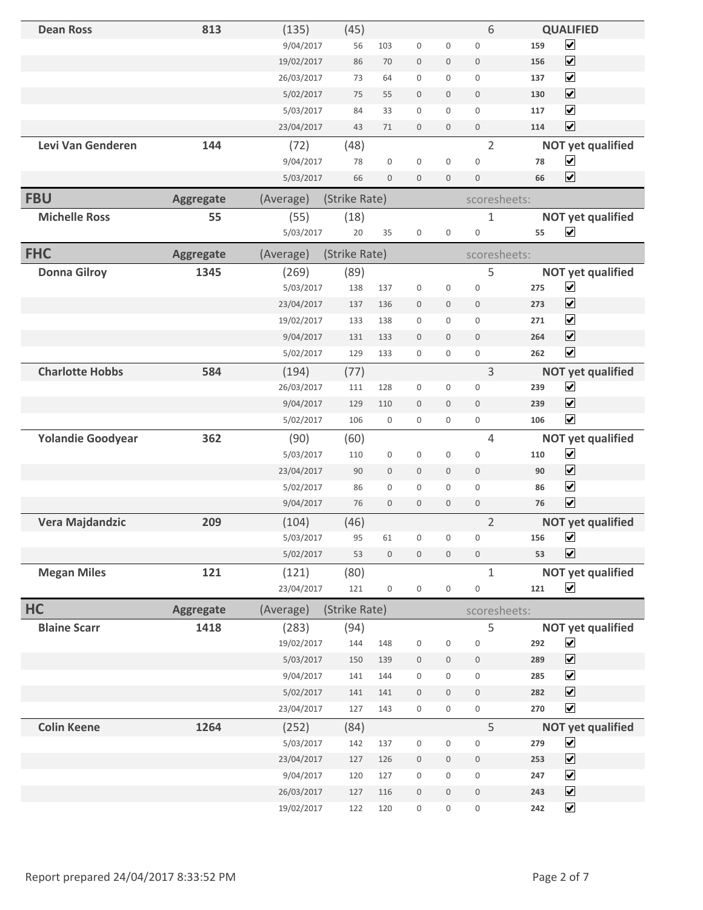| <b>Dean Ross</b>         | 813              | (135)      | (45)          |                  |                     |                  | 6                   |     | <b>QUALIFIED</b>         |
|--------------------------|------------------|------------|---------------|------------------|---------------------|------------------|---------------------|-----|--------------------------|
|                          |                  | 9/04/2017  | 56            | 103              | $\boldsymbol{0}$    | 0                | $\boldsymbol{0}$    | 159 | $\blacktriangledown$     |
|                          |                  | 19/02/2017 | 86            | 70               | $\bf 0$             | 0                | $\mathbf 0$         | 156 | $\blacktriangledown$     |
|                          |                  | 26/03/2017 | 73            | 64               | $\mathbf 0$         | 0                | $\mathbf 0$         | 137 | $\blacktriangledown$     |
|                          |                  | 5/02/2017  | 75            | 55               | $\mathbf 0$         | $\mathbf 0$      | $\mathbf 0$         | 130 | $\blacktriangledown$     |
|                          |                  | 5/03/2017  | 84            | 33               | $\boldsymbol{0}$    | $\mathbf{0}$     | $\mathbf 0$         | 117 | $\blacktriangledown$     |
|                          |                  | 23/04/2017 | 43            | 71               | $\mathbf 0$         | $\mathbf 0$      | $\bf 0$             | 114 | $\blacktriangledown$     |
| Levi Van Genderen        | 144              | (72)       | (48)          |                  |                     |                  | $\overline{2}$      |     | <b>NOT yet qualified</b> |
|                          |                  | 9/04/2017  | 78            | 0                | $\mathbf 0$         | $\boldsymbol{0}$ | $\bf 0$             | 78  | $\blacktriangledown$     |
|                          |                  | 5/03/2017  | 66            | $\mathbf 0$      | $\mathbf 0$         | $\mathbf 0$      | $\mathbf{0}$        | 66  | $\blacktriangledown$     |
| <b>FBU</b>               | <b>Aggregate</b> | (Average)  | (Strike Rate) |                  |                     |                  | scoresheets:        |     |                          |
| <b>Michelle Ross</b>     | 55               | (55)       | (18)          |                  |                     |                  | $\mathbf 1$         |     | <b>NOT yet qualified</b> |
|                          |                  | 5/03/2017  | 20            | 35               | $\boldsymbol{0}$    | $\boldsymbol{0}$ | $\boldsymbol{0}$    | 55  | $\blacktriangledown$     |
| <b>FHC</b>               | <b>Aggregate</b> | (Average)  | (Strike Rate) |                  |                     |                  | scoresheets:        |     |                          |
| <b>Donna Gilroy</b>      | 1345             | (269)      | (89)          |                  |                     |                  | 5                   |     | <b>NOT yet qualified</b> |
|                          |                  | 5/03/2017  | 138           | 137              | $\boldsymbol{0}$    | $\boldsymbol{0}$ | $\mathbf 0$         | 275 | $\blacktriangledown$     |
|                          |                  | 23/04/2017 | 137           | 136              | $\boldsymbol{0}$    | $\mathbf 0$      | $\mathbf 0$         | 273 | $\blacktriangledown$     |
|                          |                  | 19/02/2017 | 133           | 138              | $\mathbf 0$         | 0                | $\mathbf 0$         | 271 | $\blacktriangledown$     |
|                          |                  | 9/04/2017  | 131           | 133              | $\mathbf 0$         | $\mathbf 0$      | $\mathbf 0$         | 264 | $\blacktriangledown$     |
|                          |                  | 5/02/2017  | 129           | 133              | $\boldsymbol{0}$    | 0                | $\mathbf 0$         | 262 | $\blacktriangledown$     |
| <b>Charlotte Hobbs</b>   | 584              | (194)      | (77)          |                  |                     |                  | 3                   |     | <b>NOT yet qualified</b> |
|                          |                  | 26/03/2017 | 111           | 128              | $\boldsymbol{0}$    | 0                | $\mathbf 0$         | 239 | $\blacktriangledown$     |
|                          |                  | 9/04/2017  | 129           | 110              | $\mathbf 0$         | $\mathbf 0$      | $\mathbf 0$         | 239 | $\blacktriangledown$     |
|                          |                  | 5/02/2017  | 106           | 0                | $\boldsymbol{0}$    | 0                | $\boldsymbol{0}$    | 106 | $\blacktriangledown$     |
| <b>Yolandie Goodyear</b> | 362              | (90)       | (60)          |                  |                     |                  | 4                   |     | <b>NOT yet qualified</b> |
|                          |                  | 5/03/2017  | 110           | 0                | $\mathbf 0$         | $\boldsymbol{0}$ | $\mathbf 0$         | 110 | $\blacktriangledown$     |
|                          |                  | 23/04/2017 | 90            | 0                | $\mathbf{0}$        | $\mathbf 0$      | $\mathbf 0$         | 90  | $\blacktriangledown$     |
|                          |                  | 5/02/2017  | 86            | 0                | $\boldsymbol{0}$    | 0                | $\mathbf 0$         | 86  | $\blacktriangledown$     |
|                          |                  | 9/04/2017  | 76            | $\mathbf 0$      | $\mathbf 0$         | $\mathbf 0$      | $\mathbb O$         | 76  | $\blacktriangledown$     |
| Vera Majdandzic          | 209              | (104)      | (46)          |                  |                     |                  | $\overline{2}$      |     | <b>NOT yet qualified</b> |
|                          |                  | 5/03/2017  | 95            | 61               | U                   | U                | U                   | 156 | $\blacktriangledown$     |
|                          |                  | 5/02/2017  | 53            | $\boldsymbol{0}$ | $\boldsymbol{0}$    | $\boldsymbol{0}$ | $\bf 0$             | 53  | $\blacktriangledown$     |
| <b>Megan Miles</b>       | 121              | (121)      | (80)          |                  |                     |                  | $\mathbf{1}$        |     | <b>NOT yet qualified</b> |
|                          |                  | 23/04/2017 | 121           | 0                | $\boldsymbol{0}$    | $\boldsymbol{0}$ | $\boldsymbol{0}$    | 121 | $\blacktriangledown$     |
| HC                       | <b>Aggregate</b> | (Average)  | (Strike Rate) |                  |                     |                  | scoresheets:        |     |                          |
| <b>Blaine Scarr</b>      | 1418             | (283)      | (94)          |                  |                     |                  | 5                   |     | <b>NOT yet qualified</b> |
|                          |                  | 19/02/2017 | 144           | 148              | $\boldsymbol{0}$    | $\boldsymbol{0}$ | $\bf{0}$            | 292 | $\blacktriangledown$     |
|                          |                  | 5/03/2017  | 150           | 139              | $\boldsymbol{0}$    | 0                | $\boldsymbol{0}$    | 289 | $\blacktriangledown$     |
|                          |                  | 9/04/2017  | 141           | 144              | $\boldsymbol{0}$    | 0                | $\boldsymbol{0}$    | 285 | $\blacktriangledown$     |
|                          |                  | 5/02/2017  | 141           | 141              | $\bf 0$             | $\mathbf 0$      | $\mathbf 0$         | 282 | $\blacktriangledown$     |
|                          |                  | 23/04/2017 | 127           | 143              | $\boldsymbol{0}$    | 0                | $\mathsf{O}\xspace$ | 270 | $\blacktriangledown$     |
| <b>Colin Keene</b>       | 1264             | (252)      | (84)          |                  |                     |                  | 5                   |     | <b>NOT yet qualified</b> |
|                          |                  | 5/03/2017  | 142           | 137              | $\boldsymbol{0}$    | $\boldsymbol{0}$ | $\bf 0$             | 279 | $\blacktriangledown$     |
|                          |                  | 23/04/2017 | 127           | 126              | $\boldsymbol{0}$    | $\boldsymbol{0}$ | $\boldsymbol{0}$    | 253 | $\blacktriangledown$     |
|                          |                  | 9/04/2017  | 120           | 127              | $\mathsf{O}\xspace$ | 0                | $\boldsymbol{0}$    | 247 | $\blacktriangledown$     |
|                          |                  | 26/03/2017 | 127           | 116              | $\boldsymbol{0}$    | $\mathbf 0$      | $\mathbb O$         | 243 | $\blacktriangledown$     |
|                          |                  | 19/02/2017 | 122           | 120              | $\boldsymbol{0}$    | 0                | $\boldsymbol{0}$    | 242 | $\blacktriangledown$     |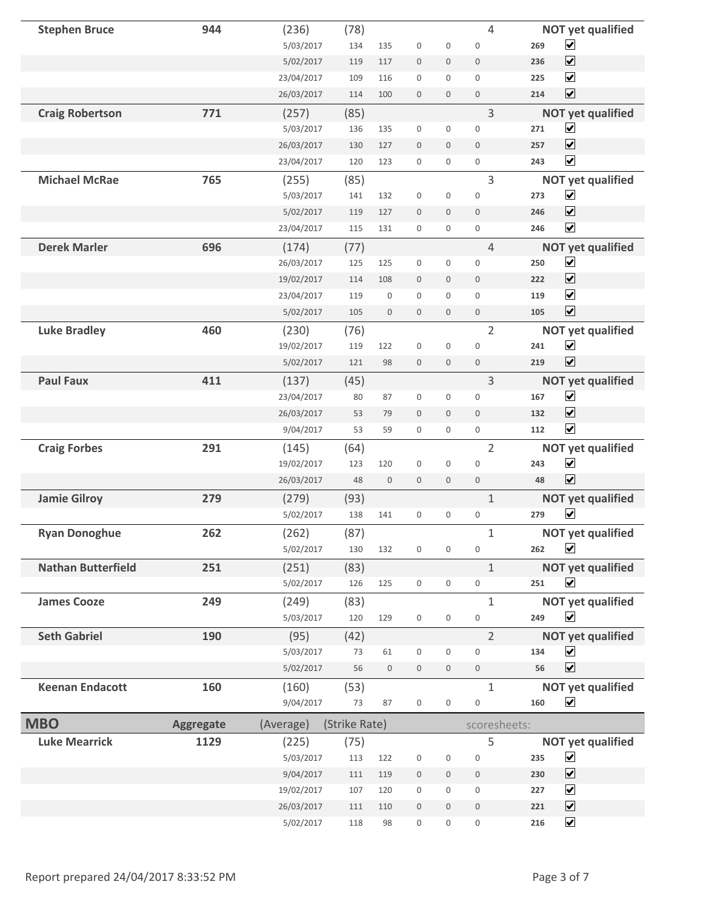| <b>Stephen Bruce</b>      | 944              | (236)      | (78)          |                  |                     |                  | 4                |     | <b>NOT yet qualified</b> |
|---------------------------|------------------|------------|---------------|------------------|---------------------|------------------|------------------|-----|--------------------------|
|                           |                  | 5/03/2017  | 134           | 135              | $\mathsf 0$         | $\boldsymbol{0}$ | $\mathbf 0$      | 269 | $\blacktriangledown$     |
|                           |                  | 5/02/2017  | 119           | 117              | $\boldsymbol{0}$    | 0                | $\boldsymbol{0}$ | 236 | $\blacktriangledown$     |
|                           |                  | 23/04/2017 | 109           | 116              | $\boldsymbol{0}$    | 0                | $\boldsymbol{0}$ | 225 | $\blacktriangledown$     |
|                           |                  | 26/03/2017 | 114           | 100              | $\boldsymbol{0}$    | $\mathbf 0$      | $\mathbf 0$      | 214 | $\blacktriangledown$     |
| <b>Craig Robertson</b>    | 771              | (257)      | (85)          |                  |                     |                  | 3                |     | <b>NOT yet qualified</b> |
|                           |                  | 5/03/2017  | 136           | 135              | $\mathbf 0$         | $\boldsymbol{0}$ | $\mathbf 0$      | 271 | $\blacktriangledown$     |
|                           |                  | 26/03/2017 | 130           | 127              | $\boldsymbol{0}$    | $\mathbf 0$      | $\boldsymbol{0}$ | 257 | $\blacktriangledown$     |
|                           |                  | 23/04/2017 | 120           | 123              | $\mathbf 0$         | 0                | $\boldsymbol{0}$ | 243 | $\blacktriangledown$     |
| <b>Michael McRae</b>      | 765              | (255)      | (85)          |                  |                     |                  | 3                |     | <b>NOT yet qualified</b> |
|                           |                  | 5/03/2017  | 141           | 132              | 0                   | $\mathsf 0$      | $\boldsymbol{0}$ | 273 | $\blacktriangledown$     |
|                           |                  | 5/02/2017  | 119           | 127              | $\mathbf 0$         | $\mathbf 0$      | $\mathbf 0$      | 246 | $\blacktriangledown$     |
|                           |                  | 23/04/2017 | 115           | 131              | $\boldsymbol{0}$    | 0                | 0                | 246 | $\blacktriangledown$     |
| <b>Derek Marler</b>       | 696              | (174)      | (77)          |                  |                     |                  | $\overline{4}$   |     | <b>NOT yet qualified</b> |
|                           |                  | 26/03/2017 | 125           | 125              | 0                   | 0                | $\boldsymbol{0}$ | 250 | $\blacktriangledown$     |
|                           |                  | 19/02/2017 | 114           | 108              | $\mathbf 0$         | $\mathbf 0$      | $\mathbf 0$      | 222 | $\blacktriangledown$     |
|                           |                  | 23/04/2017 | 119           | 0                | $\boldsymbol{0}$    | 0                | $\boldsymbol{0}$ | 119 | $\blacktriangledown$     |
|                           |                  | 5/02/2017  | 105           | $\mathbf 0$      | $\boldsymbol{0}$    | $\mathbf 0$      | $\mathbf 0$      | 105 | $\blacktriangledown$     |
| <b>Luke Bradley</b>       | 460              | (230)      | (76)          |                  |                     |                  | $\overline{2}$   |     | <b>NOT yet qualified</b> |
|                           |                  | 19/02/2017 | 119           | 122              | $\boldsymbol{0}$    | $\mathbf 0$      | $\boldsymbol{0}$ | 241 | $\blacktriangledown$     |
|                           |                  | 5/02/2017  | 121           | 98               | $\boldsymbol{0}$    | $\boldsymbol{0}$ | $\mathbf 0$      | 219 | $\blacktriangledown$     |
| <b>Paul Faux</b>          | 411              | (137)      | (45)          |                  |                     |                  | 3                |     | <b>NOT yet qualified</b> |
|                           |                  | 23/04/2017 | 80            | 87               | $\boldsymbol{0}$    | $\boldsymbol{0}$ | $\mathbf 0$      | 167 | $\blacktriangledown$     |
|                           |                  | 26/03/2017 | 53            | 79               | $\boldsymbol{0}$    | $\mathbf 0$      | $\mathbf 0$      | 132 | $\blacktriangledown$     |
|                           |                  | 9/04/2017  | 53            | 59               | $\boldsymbol{0}$    | 0                | $\mathbf 0$      | 112 | $\blacktriangledown$     |
| <b>Craig Forbes</b>       | 291              | (145)      | (64)          |                  |                     |                  | $\overline{2}$   |     | <b>NOT yet qualified</b> |
|                           |                  | 19/02/2017 | 123           | 120              | $\boldsymbol{0}$    | $\boldsymbol{0}$ | $\boldsymbol{0}$ | 243 | $\blacktriangledown$     |
|                           |                  | 26/03/2017 | 48            | $\mathbf 0$      | $\boldsymbol{0}$    | $\mathbf 0$      | $\mathbf 0$      | 48  | $\blacktriangledown$     |
| <b>Jamie Gilroy</b>       | 279              | (279)      | (93)          |                  |                     |                  | $\mathbf{1}$     |     | <b>NOT yet qualified</b> |
|                           |                  | 5/02/2017  | 138           | 141              | 0                   | 0                | $\boldsymbol{0}$ | 279 | $\blacktriangledown$     |
| <b>Ryan Donoghue</b>      | 262              | (262)      | (87)          |                  |                     |                  | 1                |     | <b>NOT yet qualified</b> |
|                           |                  | 5/02/2017  | 130           | 132              | 0                   | 0                | 0                | 262 | $\overline{\mathbf{v}}$  |
| <b>Nathan Butterfield</b> | 251              | (251)      | (83)          |                  |                     |                  | $\mathbf{1}$     |     | <b>NOT yet qualified</b> |
|                           |                  | 5/02/2017  | 126           | 125              | $\boldsymbol{0}$    | 0                | 0                | 251 | $\blacktriangledown$     |
| <b>James Cooze</b>        | 249              | (249)      | (83)          |                  |                     |                  | 1                |     | <b>NOT yet qualified</b> |
|                           |                  | 5/03/2017  | 120           | 129              | $\boldsymbol{0}$    | 0                | $\boldsymbol{0}$ | 249 | $\blacktriangledown$     |
| <b>Seth Gabriel</b>       | 190              | (95)       | (42)          |                  |                     |                  | $\overline{2}$   |     | <b>NOT yet qualified</b> |
|                           |                  | 5/03/2017  | 73            | 61               | $\boldsymbol{0}$    | 0                | $\boldsymbol{0}$ | 134 | $\blacktriangledown$     |
|                           |                  | 5/02/2017  | 56            | $\boldsymbol{0}$ | $\boldsymbol{0}$    | $\boldsymbol{0}$ | $\,0\,$          | 56  | $\overline{\mathbf{v}}$  |
| <b>Keenan Endacott</b>    | 160              | (160)      | (53)          |                  |                     |                  | $\mathbf{1}$     |     | <b>NOT yet qualified</b> |
|                           |                  | 9/04/2017  | 73            | 87               | $\mathsf{O}\xspace$ | $\mathbf 0$      | 0                | 160 | $\overline{\mathbf{v}}$  |
| <b>MBO</b>                | <b>Aggregate</b> | (Average)  | (Strike Rate) |                  |                     |                  | scoresheets:     |     |                          |
| <b>Luke Mearrick</b>      | 1129             | (225)      | (75)          |                  |                     |                  | 5                |     | <b>NOT yet qualified</b> |
|                           |                  | 5/03/2017  | 113           | 122              | $\boldsymbol{0}$    | 0                | $\boldsymbol{0}$ | 235 | $\blacktriangledown$     |
|                           |                  | 9/04/2017  | 111           | 119              | $\boldsymbol{0}$    | $\boldsymbol{0}$ | $\boldsymbol{0}$ | 230 | $\blacktriangledown$     |
|                           |                  | 19/02/2017 | 107           | 120              | $\boldsymbol{0}$    | 0                | $\boldsymbol{0}$ | 227 | $\blacktriangledown$     |
|                           |                  | 26/03/2017 | 111           | 110              | $\boldsymbol{0}$    | $\mathbf 0$      | $\boldsymbol{0}$ | 221 | $\blacktriangledown$     |
|                           |                  | 5/02/2017  | 118           | 98               | 0                   | 0                | 0                | 216 | $\blacktriangledown$     |
|                           |                  |            |               |                  |                     |                  |                  |     |                          |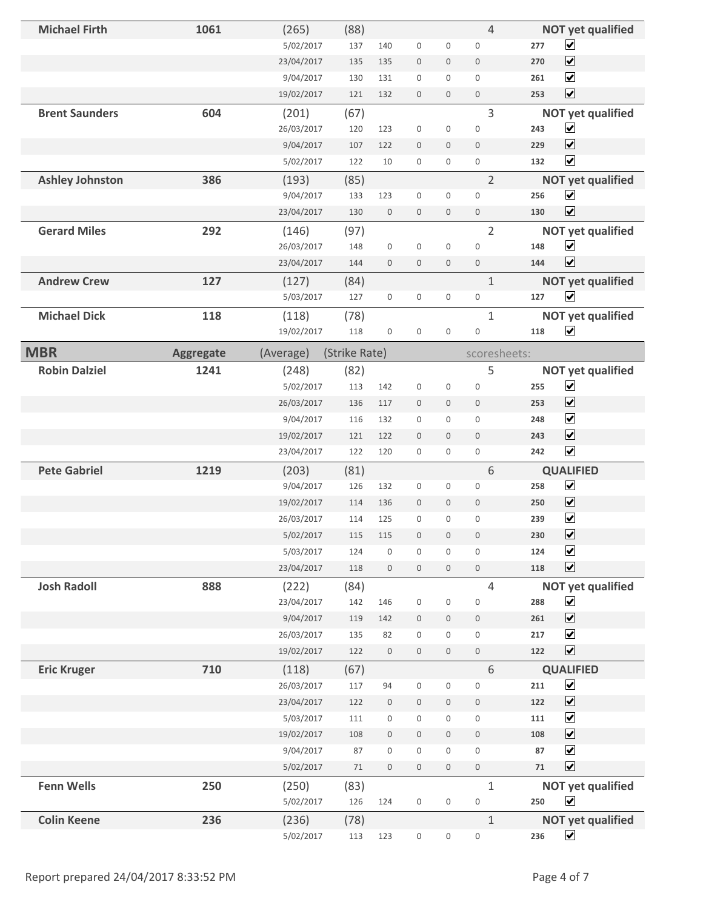| <b>Michael Firth</b>   | 1061             | (265)      | (88)          |                     |                  |                     | $\overline{4}$      |        | <b>NOT yet qualified</b> |
|------------------------|------------------|------------|---------------|---------------------|------------------|---------------------|---------------------|--------|--------------------------|
|                        |                  | 5/02/2017  | 137           | 140                 | $\boldsymbol{0}$ | $\boldsymbol{0}$    | $\boldsymbol{0}$    | 277    | $\blacktriangledown$     |
|                        |                  | 23/04/2017 | 135           | 135                 | $\boldsymbol{0}$ | $\mathsf{O}\xspace$ | $\boldsymbol{0}$    | 270    | $\blacktriangledown$     |
|                        |                  | 9/04/2017  | 130           | 131                 | $\boldsymbol{0}$ | $\boldsymbol{0}$    | $\mathbf 0$         | 261    | $\blacktriangledown$     |
|                        |                  | 19/02/2017 | 121           | 132                 | $\bf 0$          | $\mathbf 0$         | $\mathbf 0$         | 253    | $\blacktriangledown$     |
| <b>Brent Saunders</b>  | 604              | (201)      | (67)          |                     |                  |                     | 3                   |        | <b>NOT yet qualified</b> |
|                        |                  | 26/03/2017 | 120           | 123                 | $\boldsymbol{0}$ | $\boldsymbol{0}$    | $\bf 0$             | 243    | $\blacktriangledown$     |
|                        |                  | 9/04/2017  | 107           | 122                 | $\boldsymbol{0}$ | $\mathsf{O}\xspace$ | $\boldsymbol{0}$    | 229    | $\blacktriangledown$     |
|                        |                  | 5/02/2017  | 122           | 10                  | $\boldsymbol{0}$ | $\mathbf 0$         | $\mathbf 0$         | 132    | $\blacktriangledown$     |
| <b>Ashley Johnston</b> | 386              | (193)      | (85)          |                     |                  |                     | $\overline{2}$      |        | <b>NOT yet qualified</b> |
|                        |                  | 9/04/2017  | 133           | 123                 | $\boldsymbol{0}$ | $\boldsymbol{0}$    | $\boldsymbol{0}$    | 256    | $\blacktriangledown$     |
|                        |                  | 23/04/2017 | 130           | $\boldsymbol{0}$    | $\mathbf 0$      | $\mathbf 0$         | $\mathbf 0$         | 130    | $\blacktriangledown$     |
| <b>Gerard Miles</b>    | 292              | (146)      | (97)          |                     |                  |                     | $\overline{2}$      |        | <b>NOT yet qualified</b> |
|                        |                  | 26/03/2017 | 148           | $\boldsymbol{0}$    | $\mathbf 0$      | $\boldsymbol{0}$    | $\mathbf 0$         | 148    | $\blacktriangledown$     |
|                        |                  | 23/04/2017 | 144           | $\boldsymbol{0}$    | $\boldsymbol{0}$ | $\boldsymbol{0}$    | $\boldsymbol{0}$    | 144    | $\blacktriangledown$     |
| <b>Andrew Crew</b>     | 127              | (127)      | (84)          |                     |                  |                     | $\mathbf{1}$        |        | <b>NOT yet qualified</b> |
|                        |                  | 5/03/2017  | 127           | $\boldsymbol{0}$    | $\boldsymbol{0}$ | $\mathbf 0$         | $\boldsymbol{0}$    | 127    | $\blacktriangledown$     |
| <b>Michael Dick</b>    | 118              | (118)      | (78)          |                     |                  |                     | $\mathbf{1}$        |        | <b>NOT yet qualified</b> |
|                        |                  | 19/02/2017 | 118           | $\boldsymbol{0}$    | $\boldsymbol{0}$ | $\boldsymbol{0}$    | $\boldsymbol{0}$    | 118    | $\blacktriangledown$     |
| <b>MBR</b>             | <b>Aggregate</b> | (Average)  | (Strike Rate) |                     |                  |                     | scoresheets:        |        |                          |
| <b>Robin Dalziel</b>   | 1241             | (248)      | (82)          |                     |                  |                     | 5                   |        | <b>NOT yet qualified</b> |
|                        |                  | 5/02/2017  | 113           | 142                 | $\boldsymbol{0}$ | $\boldsymbol{0}$    | $\boldsymbol{0}$    | 255    | $\blacktriangledown$     |
|                        |                  | 26/03/2017 | 136           | 117                 | $\mathbf 0$      | $\mathbf 0$         | $\mathbf 0$         | 253    | $\blacktriangledown$     |
|                        |                  | 9/04/2017  | 116           | 132                 | $\boldsymbol{0}$ | $\boldsymbol{0}$    | $\boldsymbol{0}$    | 248    | $\blacktriangledown$     |
|                        |                  | 19/02/2017 | 121           | 122                 | $\mathbf 0$      | $\mathbf 0$         | $\mathbf 0$         | 243    | $\blacktriangledown$     |
|                        |                  | 23/04/2017 | 122           | 120                 | $\boldsymbol{0}$ | $\mathbf 0$         | $\mathsf{O}\xspace$ | 242    | $\blacktriangledown$     |
| <b>Pete Gabriel</b>    | 1219             | (203)      | (81)          |                     |                  |                     | 6                   |        | <b>QUALIFIED</b>         |
|                        |                  | 9/04/2017  | 126           | 132                 | $\boldsymbol{0}$ | $\boldsymbol{0}$    | $\boldsymbol{0}$    | 258    | $\blacktriangledown$     |
|                        |                  | 19/02/2017 | 114           | 136                 | $\boldsymbol{0}$ | $\mathbf 0$         | $\boldsymbol{0}$    | 250    | $\blacktriangledown$     |
|                        |                  | 26/03/2017 | 114           | 125                 | $\boldsymbol{0}$ | $\boldsymbol{0}$    | $\mathbf{0}$        | 239    | $\blacktriangledown$     |
|                        |                  | 5/02/2017  | 115           | 115                 | $\mathbf 0$      | $\mathbf 0$         | $\mathbf 0$         | 230    | $\overline{\mathbf{v}}$  |
|                        |                  | 5/03/2017  | 124           | $\boldsymbol{0}$    | $\boldsymbol{0}$ | $\mathbf 0$         | $\boldsymbol{0}$    | 124    | $\blacktriangledown$     |
|                        |                  | 23/04/2017 | 118           | $\mathsf{O}\xspace$ | $\boldsymbol{0}$ | $\mathbf 0$         | $\boldsymbol{0}$    | 118    | $\blacktriangledown$     |
| <b>Josh Radoll</b>     | 888              | (222)      | (84)          |                     |                  |                     | $\overline{4}$      |        | <b>NOT yet qualified</b> |
|                        |                  | 23/04/2017 | 142           | 146                 | $\boldsymbol{0}$ | $\boldsymbol{0}$    | $\boldsymbol{0}$    | 288    | $\blacktriangledown$     |
|                        |                  | 9/04/2017  | 119           | 142                 | $\boldsymbol{0}$ | $\mathbf 0$         | $\boldsymbol{0}$    | 261    | $\blacktriangledown$     |
|                        |                  | 26/03/2017 | 135           | 82                  | $\boldsymbol{0}$ | $\mathbf 0$         | $\boldsymbol{0}$    | 217    | $\blacktriangledown$     |
|                        |                  | 19/02/2017 | 122           | $\boldsymbol{0}$    | $\boldsymbol{0}$ | $\mathbf 0$         | $\,0\,$             | 122    | $\blacktriangledown$     |
| <b>Eric Kruger</b>     | 710              | (118)      | (67)          |                     |                  |                     | $6\,$               |        | <b>QUALIFIED</b>         |
|                        |                  |            |               |                     |                  |                     |                     | 211    | $\blacktriangledown$     |
|                        |                  | 26/03/2017 | 117           | 94                  | $\boldsymbol{0}$ | 0                   | $\boldsymbol{0}$    |        |                          |
|                        |                  | 23/04/2017 | 122           | $\boldsymbol{0}$    | $\boldsymbol{0}$ | $\mathsf{O}\xspace$ | $\,0\,$             | 122    | $\blacktriangledown$     |
|                        |                  | 5/03/2017  | 111           | $\boldsymbol{0}$    | $\boldsymbol{0}$ | $\boldsymbol{0}$    | $\boldsymbol{0}$    | 111    | $\blacktriangledown$     |
|                        |                  | 19/02/2017 | 108           | $\mathsf{O}\xspace$ | $\boldsymbol{0}$ | $\mathbf 0$         | $\mathbb O$         | 108    | $\blacktriangledown$     |
|                        |                  | 9/04/2017  | 87            | $\boldsymbol{0}$    | $\boldsymbol{0}$ | 0                   | $\boldsymbol{0}$    | 87     | $\blacktriangledown$     |
|                        |                  | 5/02/2017  | $71\,$        | $\,0\,$             | $\boldsymbol{0}$ | $\mathbf 0$         | $\,0\,$             | $71\,$ | $\blacktriangledown$     |
| <b>Fenn Wells</b>      | 250              | (250)      | (83)          |                     |                  |                     | $\mathbf{1}$        |        | <b>NOT yet qualified</b> |
|                        |                  | 5/02/2017  | 126           | 124                 | $\boldsymbol{0}$ | $\boldsymbol{0}$    | $\boldsymbol{0}$    | 250    | $\blacktriangledown$     |
| <b>Colin Keene</b>     | 236              | (236)      | (78)          |                     |                  |                     | $1\,$               |        | <b>NOT yet qualified</b> |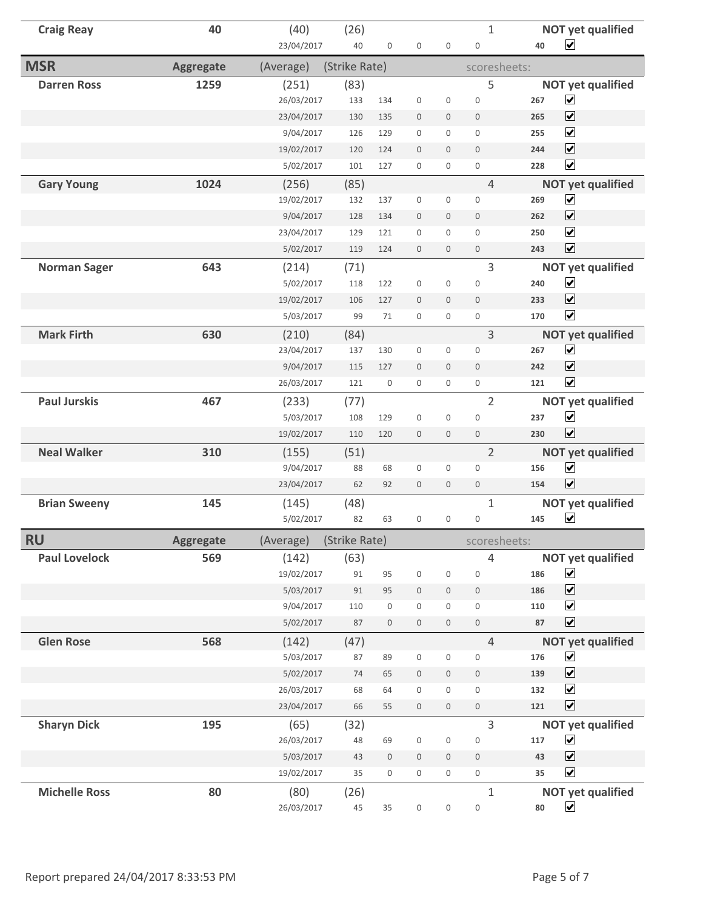| <b>Craig Reay</b>    | 40               | (40)       | (26)          |                  |                  |                  | $\mathbf{1}$        |     | <b>NOT yet qualified</b> |
|----------------------|------------------|------------|---------------|------------------|------------------|------------------|---------------------|-----|--------------------------|
|                      |                  | 23/04/2017 | 40            | 0                | $\mathbf 0$      | $\mathbf 0$      | $\boldsymbol{0}$    | 40  | $\blacktriangledown$     |
| <b>MSR</b>           | <b>Aggregate</b> | (Average)  | (Strike Rate) |                  |                  |                  | scoresheets:        |     |                          |
| <b>Darren Ross</b>   | 1259             | (251)      | (83)          |                  |                  |                  | 5                   |     | <b>NOT yet qualified</b> |
|                      |                  | 26/03/2017 | 133           | 134              | $\mathbf 0$      | $\mathsf 0$      | $\mathbf 0$         | 267 | $\blacktriangledown$     |
|                      |                  | 23/04/2017 | 130           | 135              | $\boldsymbol{0}$ | $\mathbf 0$      | $\boldsymbol{0}$    | 265 | $\blacktriangledown$     |
|                      |                  | 9/04/2017  | 126           | 129              | $\boldsymbol{0}$ | 0                | $\mathbf 0$         | 255 | $\blacktriangledown$     |
|                      |                  | 19/02/2017 | 120           | 124              | $\boldsymbol{0}$ | $\mathbf 0$      | $\mathbf{0}$        | 244 | $\blacktriangledown$     |
|                      |                  | 5/02/2017  | 101           | 127              | $\boldsymbol{0}$ | $\mathbf{0}$     | $\overline{0}$      | 228 | $\overline{\mathbf{v}}$  |
| <b>Gary Young</b>    | 1024             | (256)      | (85)          |                  |                  |                  | $\overline{4}$      |     | <b>NOT yet qualified</b> |
|                      |                  | 19/02/2017 | 132           | 137              | $\boldsymbol{0}$ | 0                | $\boldsymbol{0}$    | 269 | $\blacktriangledown$     |
|                      |                  | 9/04/2017  | 128           | 134              | $\mathbf{0}$     | $\overline{0}$   | $\mathbf{0}$        | 262 | $\blacktriangledown$     |
|                      |                  | 23/04/2017 | 129           | 121              | 0                | 0                | $\mathbf 0$         | 250 | $\blacktriangledown$     |
|                      |                  | 5/02/2017  | 119           | 124              | $\boldsymbol{0}$ | $\mathbf 0$      | $\boldsymbol{0}$    | 243 | $\blacktriangledown$     |
| <b>Norman Sager</b>  | 643              | (214)      | (71)          |                  |                  |                  | 3                   |     | <b>NOT yet qualified</b> |
|                      |                  | 5/02/2017  | 118           | 122              | $\boldsymbol{0}$ | $\boldsymbol{0}$ | $\mathbf 0$         | 240 | $\blacktriangledown$     |
|                      |                  | 19/02/2017 | 106           | 127              | $\mathbf 0$      | $\mathbf 0$      | $\mathbf{0}$        | 233 | $\blacktriangledown$     |
|                      |                  | 5/03/2017  | 99            | 71               | $\mathbf 0$      | 0                | 0                   | 170 | $\blacktriangledown$     |
| <b>Mark Firth</b>    | 630              | (210)      | (84)          |                  |                  |                  | 3                   |     | <b>NOT yet qualified</b> |
|                      |                  | 23/04/2017 | 137           | 130              | 0                | 0                | $\boldsymbol{0}$    | 267 | $\blacktriangledown$     |
|                      |                  | 9/04/2017  | 115           | 127              | $\mathbf 0$      | $\mathbf 0$      | $\boldsymbol{0}$    | 242 | $\blacktriangledown$     |
|                      |                  | 26/03/2017 | 121           | $\mathbf 0$      | $\mathbf{0}$     | $\mathbf{0}$     | $\mathsf{O}\xspace$ | 121 | $\overline{\mathbf{v}}$  |
| <b>Paul Jurskis</b>  | 467              | (233)      | (77)          |                  |                  |                  | $\overline{2}$      |     | <b>NOT yet qualified</b> |
|                      |                  | 5/03/2017  | 108           | 129              | $\boldsymbol{0}$ | 0                | $\mathbf 0$         | 237 | $\blacktriangledown$     |
|                      |                  | 19/02/2017 | 110           | 120              | $\boldsymbol{0}$ | $\mathbf 0$      | $\mathbf 0$         | 230 | $\blacktriangledown$     |
| <b>Neal Walker</b>   | 310              | (155)      | (51)          |                  |                  |                  | $\overline{2}$      |     | <b>NOT yet qualified</b> |
|                      |                  | 9/04/2017  | 88            | 68               | $\mathbf 0$      | $\mathbf{0}$     | $\overline{0}$      | 156 | $\blacktriangledown$     |
|                      |                  | 23/04/2017 | 62            | 92               | $\mathbf 0$      | $\mathbf 0$      | $\mathbf 0$         | 154 | $\blacktriangledown$     |
| <b>Brian Sweeny</b>  | 145              | (145)      | (48)          |                  |                  |                  | 1                   |     | <b>NOT yet qualified</b> |
|                      |                  | 5/02/2017  | 82            | 63               | 0                | 0                | $\boldsymbol{0}$    | 145 | $\blacktriangledown$     |
| <b>RU</b>            | <b>Aggregate</b> | (Average)  | (Strike Rate) |                  |                  |                  | scoresheets:        |     |                          |
| <b>Paul Lovelock</b> | 569              | (142)      | (63)          |                  |                  |                  | 4                   |     | <b>NOT yet qualified</b> |
|                      |                  | 19/02/2017 | 91            | 95               | $\boldsymbol{0}$ | $\boldsymbol{0}$ | $\boldsymbol{0}$    | 186 | $\blacktriangledown$     |
|                      |                  | 5/03/2017  | 91            | 95               | $\boldsymbol{0}$ | $\boldsymbol{0}$ | $\boldsymbol{0}$    | 186 | $\blacktriangledown$     |
|                      |                  | 9/04/2017  | 110           | 0                | $\boldsymbol{0}$ | 0                | $\mathbf 0$         | 110 | $\blacktriangledown$     |
|                      |                  | 5/02/2017  | 87            | $\boldsymbol{0}$ | $\mathbb O$      | $\mathbf 0$      | $\mathsf{O}\xspace$ | 87  | $\blacktriangledown$     |
| <b>Glen Rose</b>     | 568              | (142)      | (47)          |                  |                  |                  | $\overline{4}$      |     | <b>NOT yet qualified</b> |
|                      |                  | 5/03/2017  | 87            | 89               | $\boldsymbol{0}$ | 0                | $\boldsymbol{0}$    | 176 | $\blacktriangledown$     |
|                      |                  | 5/02/2017  | 74            | 65               | $\boldsymbol{0}$ | $\boldsymbol{0}$ | $\boldsymbol{0}$    | 139 | $\blacktriangledown$     |
|                      |                  | 26/03/2017 | 68            | 64               | $\boldsymbol{0}$ | 0                | $\boldsymbol{0}$    | 132 | $\blacktriangledown$     |
|                      |                  | 23/04/2017 | 66            | 55               | $\mathbf 0$      | $\mathbf 0$      | $\mathbf 0$         | 121 | $\overline{\mathbf{v}}$  |
| <b>Sharyn Dick</b>   | 195              | (65)       | (32)          |                  |                  |                  | 3                   |     | <b>NOT yet qualified</b> |
|                      |                  | 26/03/2017 | 48            | 69               | $\boldsymbol{0}$ | $\boldsymbol{0}$ | $\boldsymbol{0}$    | 117 | $\blacktriangledown$     |
|                      |                  | 5/03/2017  | 43            | $\boldsymbol{0}$ | $\boldsymbol{0}$ | $\boldsymbol{0}$ | $\mathbf 0$         | 43  | $\overline{\mathbf{v}}$  |
|                      |                  | 19/02/2017 | 35            | 0                | $\mathbf 0$      | 0                | $\mathbf 0$         | 35  | $\blacktriangledown$     |
| <b>Michelle Ross</b> | 80               | (80)       | (26)          |                  |                  |                  | $\mathbf{1}$        |     | <b>NOT yet qualified</b> |
|                      |                  | 26/03/2017 | 45            | 35               | 0                | 0                | $\mathsf{O}\xspace$ | 80  | $\blacktriangledown$     |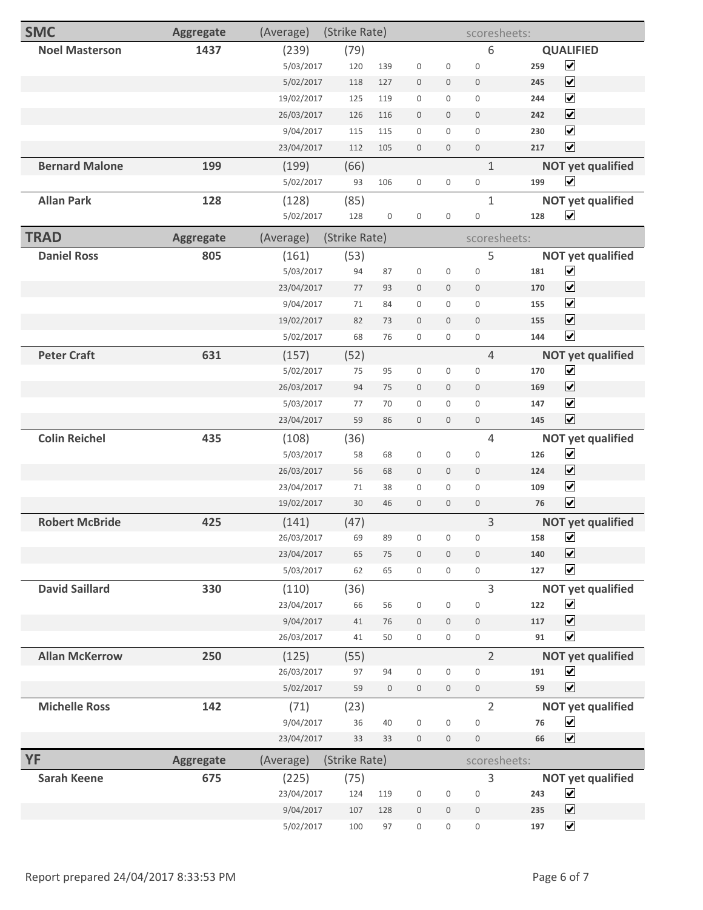| <b>SMC</b>            | <b>Aggregate</b> | (Average)  | (Strike Rate) |                     |                     |                  | scoresheets:     |               |                          |
|-----------------------|------------------|------------|---------------|---------------------|---------------------|------------------|------------------|---------------|--------------------------|
| <b>Noel Masterson</b> | 1437             | (239)      | (79)          |                     |                     |                  | 6                |               | <b>QUALIFIED</b>         |
|                       |                  | 5/03/2017  | 120           | 139                 | $\mathbf 0$         | $\boldsymbol{0}$ | $\boldsymbol{0}$ | 259           | $\overline{\mathbf{v}}$  |
|                       |                  | 5/02/2017  | 118           | 127                 | $\mathbb O$         | $\mathbf 0$      | $\mathbf 0$      | 245           | $\blacktriangledown$     |
|                       |                  | 19/02/2017 | 125           | 119                 | $\mathsf{O}\xspace$ | 0                | $\mathbf 0$      | 244           | $\blacktriangledown$     |
|                       |                  | 26/03/2017 | 126           | 116                 | $\mathbf{0}$        | $\mathbf 0$      | $\mathbf 0$      | 242           | $\blacktriangledown$     |
|                       |                  | 9/04/2017  | 115           | 115                 | $\mathbf 0$         | 0                | $\mathbf 0$      | 230           | $\blacktriangledown$     |
|                       |                  | 23/04/2017 | 112           | 105                 | $\bf 0$             | $\boldsymbol{0}$ | $\boldsymbol{0}$ | 217           | $\blacktriangledown$     |
| <b>Bernard Malone</b> | 199              | (199)      | (66)          |                     |                     |                  | $\mathbf{1}$     |               | <b>NOT yet qualified</b> |
|                       |                  | 5/02/2017  | 93            | 106                 | $\boldsymbol{0}$    | 0                | $\boldsymbol{0}$ | 199           | $\blacktriangledown$     |
| <b>Allan Park</b>     | 128              | (128)      | (85)          |                     |                     |                  | $\mathbf{1}$     |               | <b>NOT yet qualified</b> |
|                       |                  | 5/02/2017  | 128           | $\boldsymbol{0}$    | $\mathsf{O}\xspace$ | $\boldsymbol{0}$ | $\boldsymbol{0}$ | 128           | $\blacktriangledown$     |
| <b>TRAD</b>           | <b>Aggregate</b> | (Average)  | (Strike Rate) |                     |                     |                  | scoresheets:     |               |                          |
| <b>Daniel Ross</b>    | 805              | (161)      | (53)          |                     |                     |                  | 5                |               | <b>NOT yet qualified</b> |
|                       |                  | 5/03/2017  | 94            | 87                  | $\boldsymbol{0}$    | 0                | $\boldsymbol{0}$ | 181           | $\blacktriangledown$     |
|                       |                  | 23/04/2017 | 77            | 93                  | $\bf 0$             | 0                | $\boldsymbol{0}$ | 170           | $\blacktriangledown$     |
|                       |                  | 9/04/2017  | 71            | 84                  | $\mathbf 0$         | $\boldsymbol{0}$ | $\mathbf 0$      | 155           | $\blacktriangledown$     |
|                       |                  | 19/02/2017 | 82            | 73                  | $\mathbf{0}$        | $\mathbf 0$      | $\mathbf 0$      | 155           | $\blacktriangledown$     |
|                       |                  | 5/02/2017  | 68            | 76                  | $\mathbf 0$         | 0                | $\boldsymbol{0}$ | 144           | $\blacktriangledown$     |
| <b>Peter Craft</b>    | 631              | (157)      | (52)          |                     |                     |                  | $\overline{4}$   |               | <b>NOT yet qualified</b> |
|                       |                  | 5/02/2017  | 75            | 95                  | $\boldsymbol{0}$    | 0                | $\boldsymbol{0}$ | 170           | $\blacktriangledown$     |
|                       |                  | 26/03/2017 | 94            | 75                  | $\bf 0$             | 0                | $\mathbf 0$      | 169           | $\blacktriangledown$     |
|                       |                  | 5/03/2017  | 77            | 70                  | $\mathbf 0$         | $\boldsymbol{0}$ | $\mathbf 0$      | 147           | $\blacktriangledown$     |
|                       |                  | 23/04/2017 | 59            | 86                  | $\mathbf 0$         | $\boldsymbol{0}$ | $\mathbf 0$      | 145           | $\overline{\mathbf{v}}$  |
| <b>Colin Reichel</b>  | 435              | (108)      | (36)          |                     |                     |                  | 4                |               | <b>NOT yet qualified</b> |
|                       |                  | 5/03/2017  | 58            | 68                  | $\boldsymbol{0}$    | 0                | $\boldsymbol{0}$ | 126           | $\blacktriangledown$     |
|                       |                  | 26/03/2017 | 56            | 68                  | $\mathbf 0$         | 0                | $\mathbf 0$      | 124           | $\blacktriangledown$     |
|                       |                  | 23/04/2017 | 71            | 38                  | $\mathbf 0$         | $\mathbf{0}$     | $\mathbf{0}$     | 109           | $\blacktriangledown$     |
|                       |                  | 19/02/2017 | 30            | 46                  | $\mathbf{0}$        | $\mathbf 0$      | $\mathbf 0$      | 76            | $\overline{\mathbf{v}}$  |
| <b>Robert McBride</b> | 425              | (141)      | (47)          |                     |                     |                  | 3                |               | <b>NOT yet qualified</b> |
|                       |                  | 26/03/2017 | 69            | 89                  | 0                   | 0                | $\boldsymbol{0}$ | 158           | $\blacktriangledown$     |
|                       |                  | 23/04/2017 | 65            | 75                  | $\boldsymbol{0}$    | $\boldsymbol{0}$ | $\bf 0$          | 140           | $\overline{\mathbf{v}}$  |
|                       |                  | 5/03/2017  | 62            | 65                  | $\mathsf{O}\xspace$ | 0                | $\mathbf 0$      | 127           | $\blacktriangledown$     |
| <b>David Saillard</b> | 330              | (110)      | (36)          |                     |                     |                  | 3                |               | <b>NOT yet qualified</b> |
|                       |                  | 23/04/2017 | 66            | 56                  | $\boldsymbol{0}$    | 0                | $\boldsymbol{0}$ | 122           | $\blacktriangledown$     |
|                       |                  | 9/04/2017  | 41            | 76                  | $\bf 0$             | 0                | $\mathbf 0$      | 117           | $\blacktriangledown$     |
|                       |                  | 26/03/2017 | 41            | 50                  | $\boldsymbol{0}$    | 0                | $\boldsymbol{0}$ | $\mathsf{91}$ | $\blacktriangledown$     |
| <b>Allan McKerrow</b> | 250              | (125)      | (55)          |                     |                     |                  | $\overline{2}$   |               | <b>NOT yet qualified</b> |
|                       |                  | 26/03/2017 | 97            | 94                  | $\mathsf{O}\xspace$ | 0                | $\mathbf 0$      | 191           | $\blacktriangledown$     |
|                       |                  | 5/02/2017  | 59            | $\mathsf{O}\xspace$ | $\mathbb O$         | $\boldsymbol{0}$ | $\mathbb O$      | 59            | $\blacktriangledown$     |
| <b>Michelle Ross</b>  | 142              | (71)       | (23)          |                     |                     |                  | $\overline{2}$   |               | <b>NOT yet qualified</b> |
|                       |                  | 9/04/2017  | 36            | 40                  | $\boldsymbol{0}$    | $\boldsymbol{0}$ | $\boldsymbol{0}$ | 76            | $\blacktriangledown$     |
|                       |                  | 23/04/2017 | 33            | 33                  | $\bf 0$             | $\mathbf 0$      | $\boldsymbol{0}$ | 66            | $\blacktriangledown$     |
| <b>YF</b>             | <b>Aggregate</b> | (Average)  | (Strike Rate) |                     |                     |                  | scoresheets:     |               |                          |
| <b>Sarah Keene</b>    | 675              | (225)      | (75)          |                     |                     |                  | 3                |               | <b>NOT yet qualified</b> |
|                       |                  | 23/04/2017 | 124           | 119                 | $\boldsymbol{0}$    | $\boldsymbol{0}$ | $\boldsymbol{0}$ | 243           | $\blacktriangledown$     |
|                       |                  | 9/04/2017  | 107           | 128                 | $\bf 0$             | 0                | $\mathbf 0$      | 235           | $\overline{\mathbf{v}}$  |
|                       |                  | 5/02/2017  | 100           | 97                  | $\boldsymbol{0}$    | 0                | $\boldsymbol{0}$ | 197           | $\blacktriangledown$     |